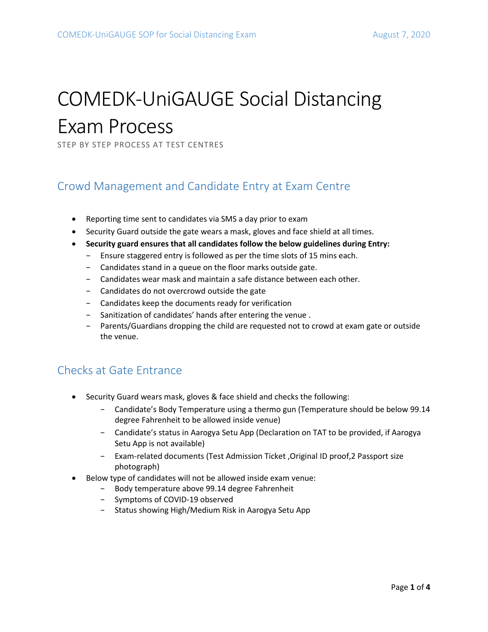# COMEDK-UniGAUGE Social Distancing Exam Process

STEP BY STEP PROCESS AT TEST CENTRES

## Crowd Management and Candidate Entry at Exam Centre

- Reporting time sent to candidates via SMS a day prior to exam
- Security Guard outside the gate wears a mask, gloves and face shield at all times.
- **Security guard ensures that all candidates follow the below guidelines during Entry:** 
	- − Ensure staggered entry is followed as per the time slots of 15 mins each.
	- − Candidates stand in a queue on the floor marks outside gate.
	- − Candidates wear mask and maintain a safe distance between each other.
	- − Candidates do not overcrowd outside the gate
	- − Candidates keep the documents ready for verification
	- − Sanitization of candidates' hands after entering the venue .
	- − Parents/Guardians dropping the child are requested not to crowd at exam gate or outside the venue.

## Checks at Gate Entrance

- Security Guard wears mask, gloves & face shield and checks the following:
	- − Candidate's Body Temperature using a thermo gun (Temperature should be below 99.14 degree Fahrenheit to be allowed inside venue)
	- − Candidate's status in Aarogya Setu App (Declaration on TAT to be provided, if Aarogya Setu App is not available)
	- − Exam-related documents (Test Admission Ticket ,Original ID proof,2 Passport size photograph)
- Below type of candidates will not be allowed inside exam venue:
	- − Body temperature above 99.14 degree Fahrenheit
	- − Symptoms of COVID-19 observed
	- − Status showing High/Medium Risk in Aarogya Setu App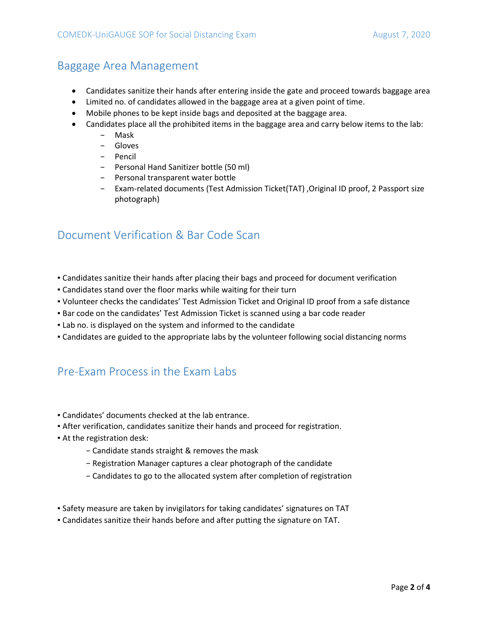## Baggage Area Management

- Candidates sanitize their hands after entering inside the gate and proceed towards baggage area
- Limited no. of candidates allowed in the baggage area at a given point of time.
- Mobile phones to be kept inside bags and deposited at the baggage area.
- Candidates place all the prohibited items in the baggage area and carry below items to the lab:
	- − Mask
	- − Gloves
	- − Pencil
	- − Personal Hand Sanitizer bottle (50 ml)
	- − Personal transparent water bottle
	- − Exam-related documents (Test Admission Ticket(TAT) ,Original ID proof, 2 Passport size photograph)

## Document Verification & Bar Code Scan

- Candidates sanitize their hands after placing their bags and proceed for document verification
- Candidates stand over the floor marks while waiting for their turn
- Volunteer checks the candidates' Test Admission Ticket and Original ID proof from a safe distance
- **Bar code on the candidates' Test Admission Ticket is scanned using a bar code reader**
- Lab no. is displayed on the system and informed to the candidate
- Candidates are guided to the appropriate labs by the volunteer following social distancing norms

## Pre-Exam Process in the Exam Labs

- Candidates' documents checked at the lab entrance.
- After verification, candidates sanitize their hands and proceed for registration.
- At the registration desk:
	- − Candidate stands straight & removes the mask
	- − Registration Manager captures a clear photograph of the candidate
	- − Candidates to go to the allocated system after completion of registration
- Safety measure are taken by invigilators for taking candidates' signatures on TAT
- Candidates sanitize their hands before and after putting the signature on TAT.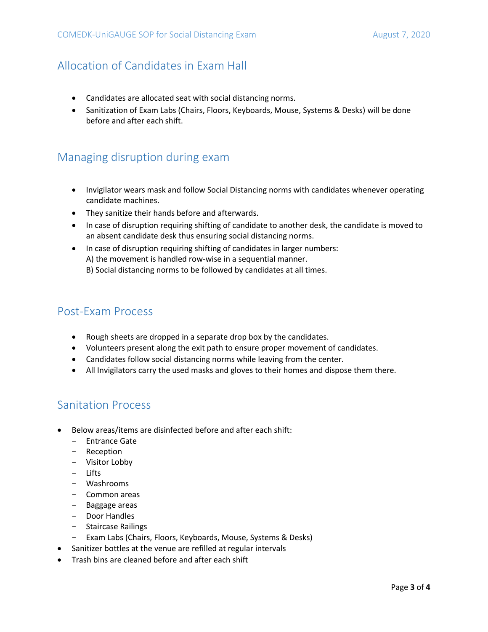## Allocation of Candidates in Exam Hall

- Candidates are allocated seat with social distancing norms.
- Sanitization of Exam Labs (Chairs, Floors, Keyboards, Mouse, Systems & Desks) will be done before and after each shift.

## Managing disruption during exam

- Invigilator wears mask and follow Social Distancing norms with candidates whenever operating candidate machines.
- They sanitize their hands before and afterwards.
- In case of disruption requiring shifting of candidate to another desk, the candidate is moved to an absent candidate desk thus ensuring social distancing norms.
- In case of disruption requiring shifting of candidates in larger numbers: A) the movement is handled row-wise in a sequential manner. B) Social distancing norms to be followed by candidates at all times.

## Post-Exam Process

- Rough sheets are dropped in a separate drop box by the candidates.
- Volunteers present along the exit path to ensure proper movement of candidates.
- Candidates follow social distancing norms while leaving from the center.
- All Invigilators carry the used masks and gloves to their homes and dispose them there.

#### Sanitation Process

- Below areas/items are disinfected before and after each shift:
	- − Entrance Gate
	- − Reception
	- − Visitor Lobby
	- − Lifts
	- − Washrooms
	- − Common areas
	- − Baggage areas
	- − Door Handles
	- − Staircase Railings
	- − Exam Labs (Chairs, Floors, Keyboards, Mouse, Systems & Desks)
- Sanitizer bottles at the venue are refilled at regular intervals
- Trash bins are cleaned before and after each shift